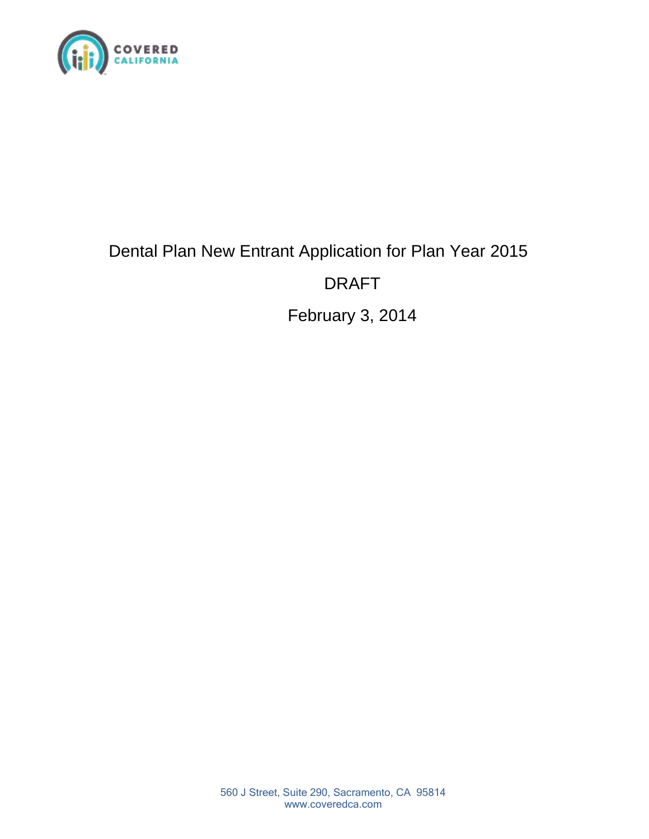

# Dental Plan New Entrant Application for Plan Year 2015 DRAFT

February 3, 2014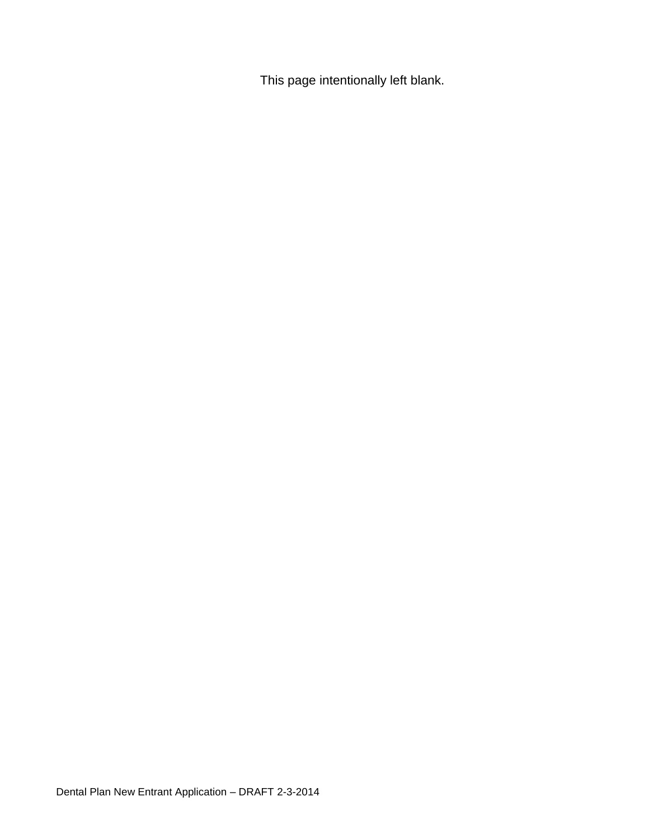This page intentionally left blank.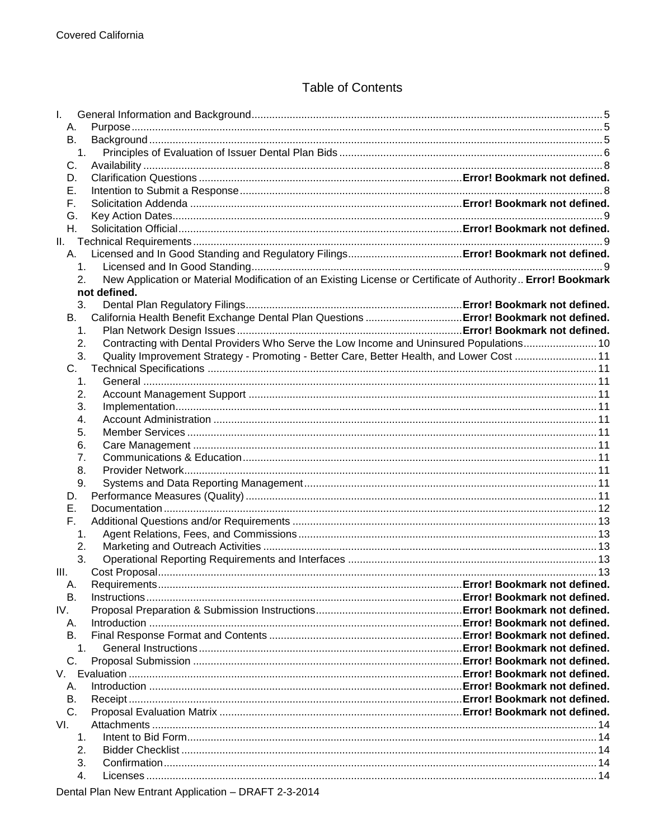### **Table of Contents**

| I.             |                                                                                                             |  |
|----------------|-------------------------------------------------------------------------------------------------------------|--|
| А.             |                                                                                                             |  |
| В.             |                                                                                                             |  |
| 1.             |                                                                                                             |  |
| C.             |                                                                                                             |  |
| D.             |                                                                                                             |  |
| Е.             |                                                                                                             |  |
| F.             |                                                                                                             |  |
| G.             |                                                                                                             |  |
| Η.             |                                                                                                             |  |
| Ш.             |                                                                                                             |  |
| А.             |                                                                                                             |  |
|                |                                                                                                             |  |
| 1.             |                                                                                                             |  |
| 2.             | New Application or Material Modification of an Existing License or Certificate of Authority Error! Bookmark |  |
|                | not defined.                                                                                                |  |
| 3.             |                                                                                                             |  |
| В.             | California Health Benefit Exchange Dental Plan Questions  Error! Bookmark not defined.                      |  |
| 1.             |                                                                                                             |  |
| 2.             | Contracting with Dental Providers Who Serve the Low Income and Uninsured Populations 10                     |  |
| 3.             | Quality Improvement Strategy - Promoting - Better Care, Better Health, and Lower Cost 11                    |  |
| C.             |                                                                                                             |  |
| 1.             |                                                                                                             |  |
| 2.             |                                                                                                             |  |
| 3.             |                                                                                                             |  |
| 4.             |                                                                                                             |  |
| 5.             |                                                                                                             |  |
| 6.             |                                                                                                             |  |
| 7.             |                                                                                                             |  |
| 8.             |                                                                                                             |  |
| 9.             |                                                                                                             |  |
| D.             |                                                                                                             |  |
| Е.             |                                                                                                             |  |
| F.             |                                                                                                             |  |
| 1.             |                                                                                                             |  |
| 2.             |                                                                                                             |  |
| 3.             |                                                                                                             |  |
|                |                                                                                                             |  |
| Ш.             |                                                                                                             |  |
| Α.             |                                                                                                             |  |
| Β.             |                                                                                                             |  |
| IV.            |                                                                                                             |  |
| А.             |                                                                                                             |  |
| В.             |                                                                                                             |  |
| $\mathbf{1}$ . |                                                                                                             |  |
| C.             |                                                                                                             |  |
| V.             |                                                                                                             |  |
| А.             |                                                                                                             |  |
| В.             |                                                                                                             |  |
| C.             |                                                                                                             |  |
| VI.            |                                                                                                             |  |
| 1.             |                                                                                                             |  |
| 2.             |                                                                                                             |  |
| 3.             |                                                                                                             |  |
| 4.             |                                                                                                             |  |
|                |                                                                                                             |  |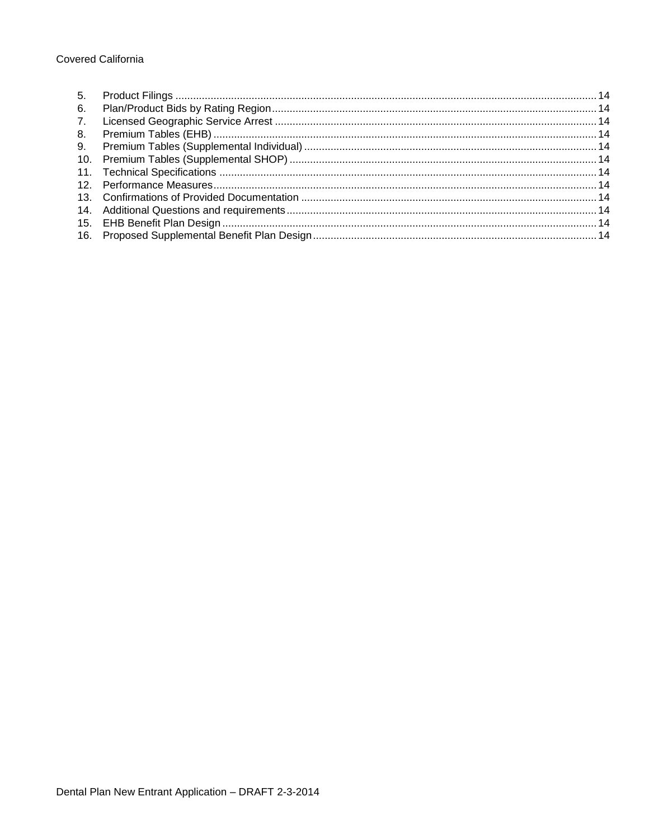| 6. |  |
|----|--|
| 7. |  |
| 8. |  |
|    |  |
|    |  |
|    |  |
|    |  |
|    |  |
|    |  |
|    |  |
|    |  |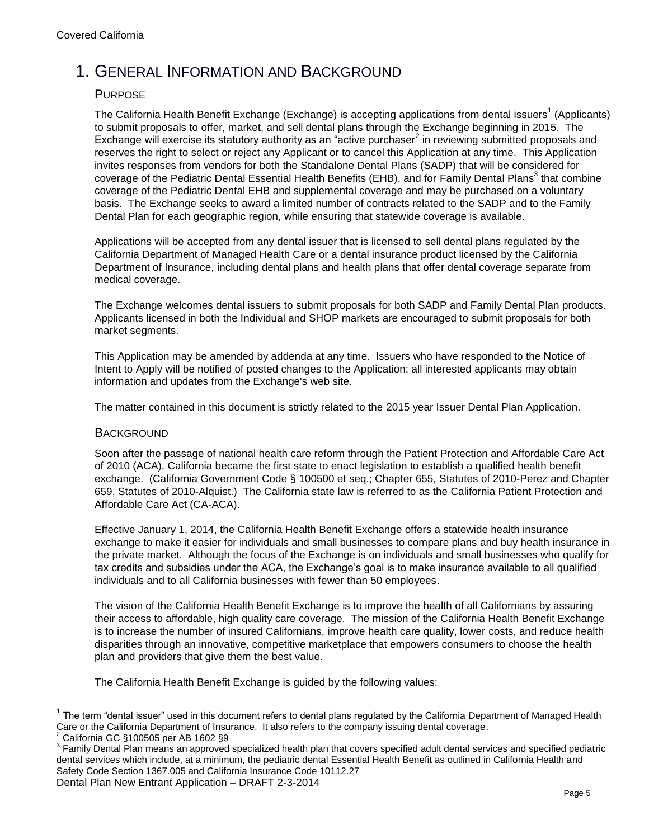## <span id="page-4-1"></span><span id="page-4-0"></span>1. GENERAL INFORMATION AND BACKGROUND

### PURPOSE

The California Health Benefit Exchange (Exchange) is accepting applications from dental issuers<sup>1</sup> (Applicants) to submit proposals to offer, market, and sell dental plans through the Exchange beginning in 2015. The Exchange will exercise its statutory authority as an "active purchaser $^2$  in reviewing submitted proposals and reserves the right to select or reject any Applicant or to cancel this Application at any time. This Application invites responses from vendors for both the Standalone Dental Plans (SADP) that will be considered for coverage of the Pediatric Dental Essential Health Benefits (EHB), and for Family Dental Plans<sup>3</sup> that combine coverage of the Pediatric Dental EHB and supplemental coverage and may be purchased on a voluntary basis. The Exchange seeks to award a limited number of contracts related to the SADP and to the Family Dental Plan for each geographic region, while ensuring that statewide coverage is available.

Applications will be accepted from any dental issuer that is licensed to sell dental plans regulated by the California Department of Managed Health Care or a dental insurance product licensed by the California Department of Insurance, including dental plans and health plans that offer dental coverage separate from medical coverage.

The Exchange welcomes dental issuers to submit proposals for both SADP and Family Dental Plan products. Applicants licensed in both the Individual and SHOP markets are encouraged to submit proposals for both market segments.

This Application may be amended by addenda at any time. Issuers who have responded to the Notice of Intent to Apply will be notified of posted changes to the Application; all interested applicants may obtain information and updates from the Exchange's web site.

The matter contained in this document is strictly related to the 2015 year Issuer Dental Plan Application.

#### <span id="page-4-2"></span>**BACKGROUND**

Soon after the passage of national health care reform through the Patient Protection and Affordable Care Act of 2010 (ACA), California became the first state to enact legislation to establish a qualified health benefit exchange. (California Government Code § 100500 et seq.; Chapter 655, Statutes of 2010-Perez and Chapter 659, Statutes of 2010-Alquist.) The California state law is referred to as the California Patient Protection and Affordable Care Act (CA-ACA).

Effective January 1, 2014, the California Health Benefit Exchange offers a statewide health insurance exchange to make it easier for individuals and small businesses to compare plans and buy health insurance in the private market. Although the focus of the Exchange is on individuals and small businesses who qualify for tax credits and subsidies under the ACA, the Exchange's goal is to make insurance available to all qualified individuals and to all California businesses with fewer than 50 employees.

The vision of the California Health Benefit Exchange is to improve the health of all Californians by assuring their access to affordable, high quality care coverage. The mission of the California Health Benefit Exchange is to increase the number of insured Californians, improve health care quality, lower costs, and reduce health disparities through an innovative, competitive marketplace that empowers consumers to choose the health plan and providers that give them the best value.

The California Health Benefit Exchange is guided by the following values:

 $\overline{a}$ 

Dental Plan New Entrant Application – DRAFT 2-3-2014

<sup>1</sup> The term "dental issuer" used in this document refers to dental plans regulated by the California Department of Managed Health Care or the California Department of Insurance. It also refers to the company issuing dental coverage.

<sup>2</sup> California GC §100505 per AB 1602 §9

 $3$  Family Dental Plan means an approved specialized health plan that covers specified adult dental services and specified pediatric dental services which include, at a minimum, the pediatric dental Essential Health Benefit as outlined in California Health and Safety Code Section 1367.005 and California Insurance Code 10112.27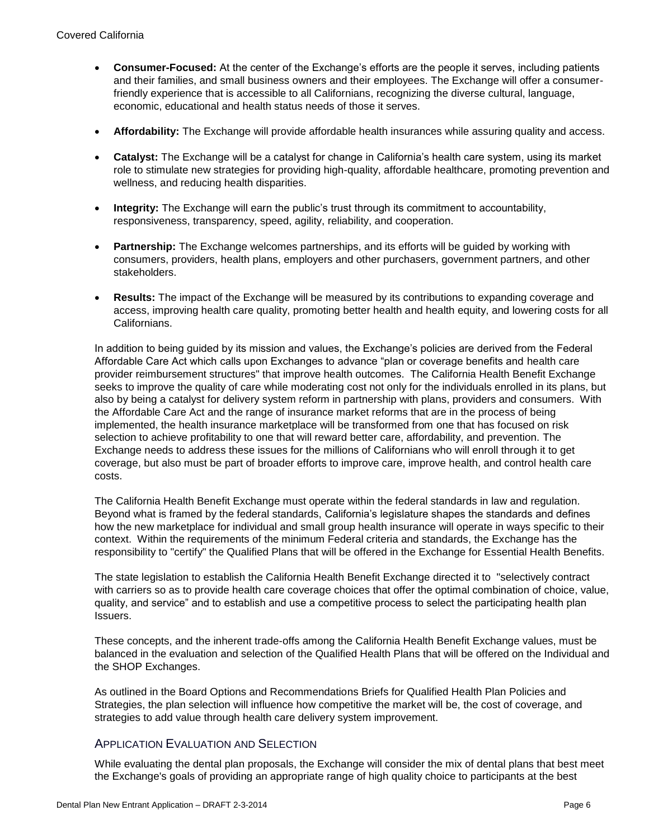- **Consumer-Focused:** At the center of the Exchange's efforts are the people it serves, including patients and their families, and small business owners and their employees. The Exchange will offer a consumerfriendly experience that is accessible to all Californians, recognizing the diverse cultural, language, economic, educational and health status needs of those it serves.
- **Affordability:** The Exchange will provide affordable health insurances while assuring quality and access.
- **Catalyst:** The Exchange will be a catalyst for change in California's health care system, using its market role to stimulate new strategies for providing high-quality, affordable healthcare, promoting prevention and wellness, and reducing health disparities.
- **Integrity:** The Exchange will earn the public's trust through its commitment to accountability, responsiveness, transparency, speed, agility, reliability, and cooperation.
- **Partnership:** The Exchange welcomes partnerships, and its efforts will be guided by working with consumers, providers, health plans, employers and other purchasers, government partners, and other stakeholders.
- **Results:** The impact of the Exchange will be measured by its contributions to expanding coverage and access, improving health care quality, promoting better health and health equity, and lowering costs for all Californians.

In addition to being guided by its mission and values, the Exchange's policies are derived from the Federal Affordable Care Act which calls upon Exchanges to advance "plan or coverage benefits and health care provider reimbursement structures" that improve health outcomes. The California Health Benefit Exchange seeks to improve the quality of care while moderating cost not only for the individuals enrolled in its plans, but also by being a catalyst for delivery system reform in partnership with plans, providers and consumers. With the Affordable Care Act and the range of insurance market reforms that are in the process of being implemented, the health insurance marketplace will be transformed from one that has focused on risk selection to achieve profitability to one that will reward better care, affordability, and prevention. The Exchange needs to address these issues for the millions of Californians who will enroll through it to get coverage, but also must be part of broader efforts to improve care, improve health, and control health care costs.

The California Health Benefit Exchange must operate within the federal standards in law and regulation. Beyond what is framed by the federal standards, California's legislature shapes the standards and defines how the new marketplace for individual and small group health insurance will operate in ways specific to their context. Within the requirements of the minimum Federal criteria and standards, the Exchange has the responsibility to "certify" the Qualified Plans that will be offered in the Exchange for Essential Health Benefits.

The state legislation to establish the California Health Benefit Exchange directed it to "selectively contract with carriers so as to provide health care coverage choices that offer the optimal combination of choice, value, quality, and service" and to establish and use a competitive process to select the participating health plan Issuers.

These concepts, and the inherent trade-offs among the California Health Benefit Exchange values, must be balanced in the evaluation and selection of the Qualified Health Plans that will be offered on the Individual and the SHOP Exchanges.

As outlined in the Board Options and Recommendations Briefs for Qualified Health Plan Policies and Strategies, the plan selection will influence how competitive the market will be, the cost of coverage, and strategies to add value through health care delivery system improvement.

### <span id="page-5-0"></span>APPLICATION EVALUATION AND SELECTION

While evaluating the dental plan proposals, the Exchange will consider the mix of dental plans that best meet the Exchange's goals of providing an appropriate range of high quality choice to participants at the best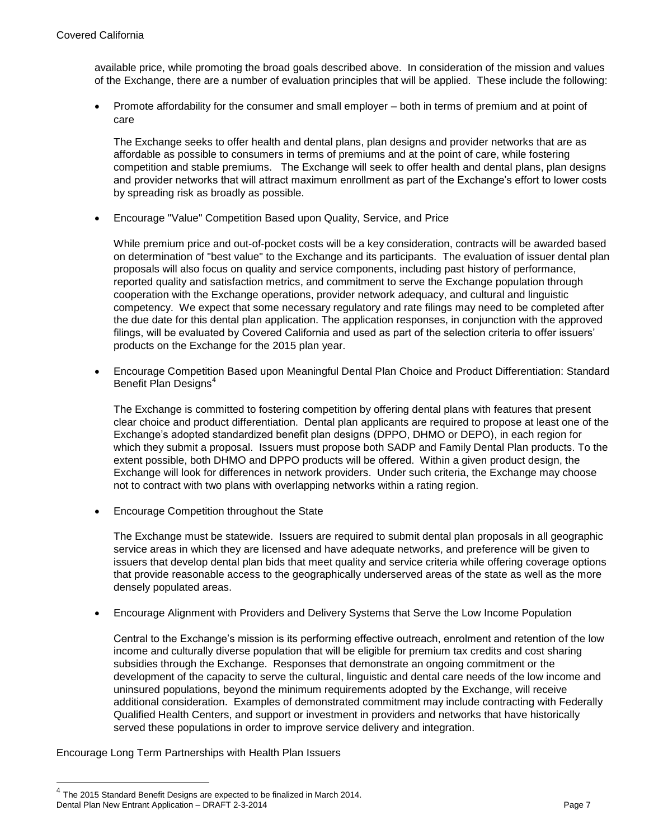available price, while promoting the broad goals described above. In consideration of the mission and values of the Exchange, there are a number of evaluation principles that will be applied. These include the following:

 Promote affordability for the consumer and small employer – both in terms of premium and at point of care

The Exchange seeks to offer health and dental plans, plan designs and provider networks that are as affordable as possible to consumers in terms of premiums and at the point of care, while fostering competition and stable premiums. The Exchange will seek to offer health and dental plans, plan designs and provider networks that will attract maximum enrollment as part of the Exchange's effort to lower costs by spreading risk as broadly as possible.

Encourage "Value" Competition Based upon Quality, Service, and Price

While premium price and out-of-pocket costs will be a key consideration, contracts will be awarded based on determination of "best value" to the Exchange and its participants. The evaluation of issuer dental plan proposals will also focus on quality and service components, including past history of performance, reported quality and satisfaction metrics, and commitment to serve the Exchange population through cooperation with the Exchange operations, provider network adequacy, and cultural and linguistic competency. We expect that some necessary regulatory and rate filings may need to be completed after the due date for this dental plan application. The application responses, in conjunction with the approved filings, will be evaluated by Covered California and used as part of the selection criteria to offer issuers' products on the Exchange for the 2015 plan year.

 Encourage Competition Based upon Meaningful Dental Plan Choice and Product Differentiation: Standard Benefit Plan Designs<sup>4</sup>

The Exchange is committed to fostering competition by offering dental plans with features that present clear choice and product differentiation. Dental plan applicants are required to propose at least one of the Exchange's adopted standardized benefit plan designs (DPPO, DHMO or DEPO), in each region for which they submit a proposal. Issuers must propose both SADP and Family Dental Plan products. To the extent possible, both DHMO and DPPO products will be offered. Within a given product design, the Exchange will look for differences in network providers. Under such criteria, the Exchange may choose not to contract with two plans with overlapping networks within a rating region.

Encourage Competition throughout the State

The Exchange must be statewide. Issuers are required to submit dental plan proposals in all geographic service areas in which they are licensed and have adequate networks, and preference will be given to issuers that develop dental plan bids that meet quality and service criteria while offering coverage options that provide reasonable access to the geographically underserved areas of the state as well as the more densely populated areas.

Encourage Alignment with Providers and Delivery Systems that Serve the Low Income Population

Central to the Exchange's mission is its performing effective outreach, enrolment and retention of the low income and culturally diverse population that will be eligible for premium tax credits and cost sharing subsidies through the Exchange. Responses that demonstrate an ongoing commitment or the development of the capacity to serve the cultural, linguistic and dental care needs of the low income and uninsured populations, beyond the minimum requirements adopted by the Exchange, will receive additional consideration. Examples of demonstrated commitment may include contracting with Federally Qualified Health Centers, and support or investment in providers and networks that have historically served these populations in order to improve service delivery and integration.

Encourage Long Term Partnerships with Health Plan Issuers

Dental Plan New Entrant Application – DRAFT 2-3-2014 Page 7 4 The 2015 Standard Benefit Designs are expected to be finalized in March 2014.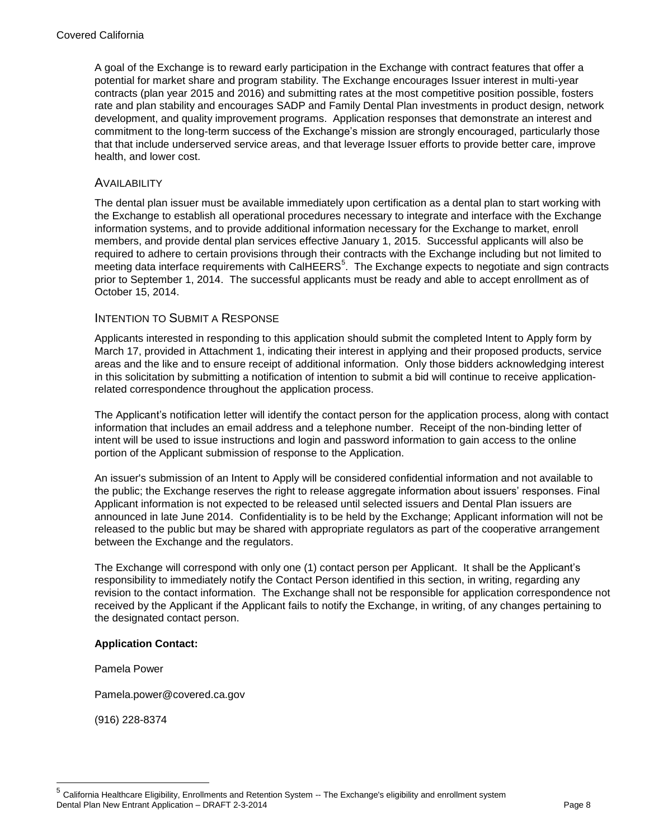A goal of the Exchange is to reward early participation in the Exchange with contract features that offer a potential for market share and program stability. The Exchange encourages Issuer interest in multi-year contracts (plan year 2015 and 2016) and submitting rates at the most competitive position possible, fosters rate and plan stability and encourages SADP and Family Dental Plan investments in product design, network development, and quality improvement programs. Application responses that demonstrate an interest and commitment to the long-term success of the Exchange's mission are strongly encouraged, particularly those that that include underserved service areas, and that leverage Issuer efforts to provide better care, improve health, and lower cost.

### <span id="page-7-0"></span>**AVAILABILITY**

The dental plan issuer must be available immediately upon certification as a dental plan to start working with the Exchange to establish all operational procedures necessary to integrate and interface with the Exchange information systems, and to provide additional information necessary for the Exchange to market, enroll members, and provide dental plan services effective January 1, 2015. Successful applicants will also be required to adhere to certain provisions through their contracts with the Exchange including but not limited to meeting data interface requirements with CalHEERS<sup>5</sup>. The Exchange expects to negotiate and sign contracts prior to September 1, 2014. The successful applicants must be ready and able to accept enrollment as of October 15, 2014.

### <span id="page-7-1"></span>INTENTION TO SUBMIT A RESPONSE

Applicants interested in responding to this application should submit the completed Intent to Apply form by March 17, provided in Attachment 1, indicating their interest in applying and their proposed products, service areas and the like and to ensure receipt of additional information. Only those bidders acknowledging interest in this solicitation by submitting a notification of intention to submit a bid will continue to receive applicationrelated correspondence throughout the application process.

The Applicant's notification letter will identify the contact person for the application process, along with contact information that includes an email address and a telephone number. Receipt of the non-binding letter of intent will be used to issue instructions and login and password information to gain access to the online portion of the Applicant submission of response to the Application.

An issuer's submission of an Intent to Apply will be considered confidential information and not available to the public; the Exchange reserves the right to release aggregate information about issuers' responses. Final Applicant information is not expected to be released until selected issuers and Dental Plan issuers are announced in late June 2014. Confidentiality is to be held by the Exchange; Applicant information will not be released to the public but may be shared with appropriate regulators as part of the cooperative arrangement between the Exchange and the regulators.

The Exchange will correspond with only one (1) contact person per Applicant. It shall be the Applicant's responsibility to immediately notify the Contact Person identified in this section, in writing, regarding any revision to the contact information. The Exchange shall not be responsible for application correspondence not received by the Applicant if the Applicant fails to notify the Exchange, in writing, of any changes pertaining to the designated contact person.

### **Application Contact:**

Pamela Power

Pamela.power@covered.ca.gov

(916) 228-8374

 $\overline{a}$ 

Dental Plan New Entrant Application – DRAFT 2-3-2014 Page 8 5 California Healthcare Eligibility, Enrollments and Retention System -- The Exchange's eligibility and enrollment system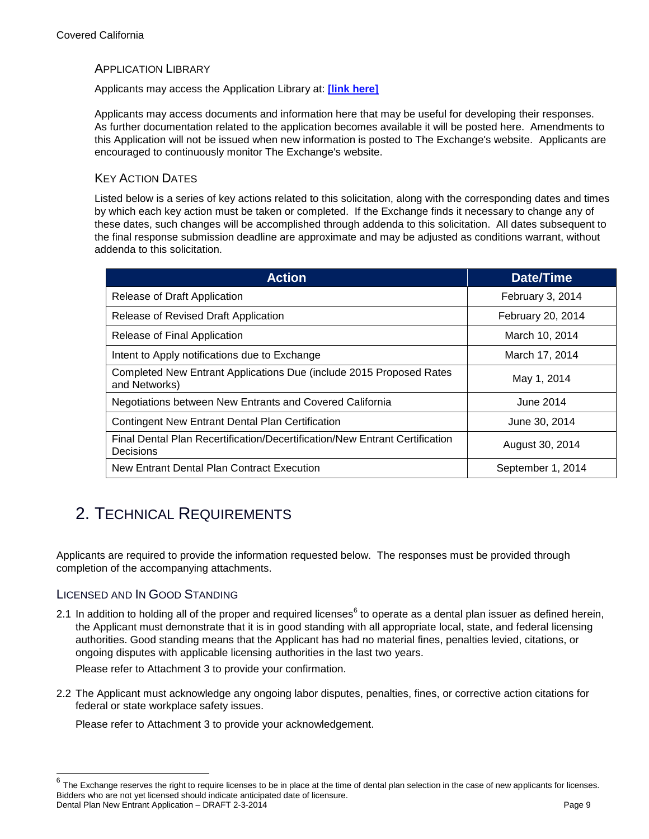### APPLICATION LIBRARY

#### Applicants may access the Application Library at: **[\[link](http://www.hbex.ca.gov/) here]**

Applicants may access documents and information here that may be useful for developing their responses. As further documentation related to the application becomes available it will be posted here. Amendments to this Application will not be issued when new information is posted to The Exchange's website. Applicants are encouraged to continuously monitor The Exchange's website.

### <span id="page-8-0"></span>KEY ACTION DATES

Listed below is a series of key actions related to this solicitation, along with the corresponding dates and times by which each key action must be taken or completed. If the Exchange finds it necessary to change any of these dates, such changes will be accomplished through addenda to this solicitation. All dates subsequent to the final response submission deadline are approximate and may be adjusted as conditions warrant, without addenda to this solicitation.

| <b>Action</b>                                                                            | Date/Time         |  |  |
|------------------------------------------------------------------------------------------|-------------------|--|--|
| Release of Draft Application                                                             | February 3, 2014  |  |  |
| Release of Revised Draft Application                                                     | February 20, 2014 |  |  |
| Release of Final Application                                                             | March 10, 2014    |  |  |
| Intent to Apply notifications due to Exchange                                            | March 17, 2014    |  |  |
| Completed New Entrant Applications Due (include 2015 Proposed Rates<br>and Networks)     | May 1, 2014       |  |  |
| Negotiations between New Entrants and Covered California                                 | June 2014         |  |  |
| Contingent New Entrant Dental Plan Certification                                         | June 30, 2014     |  |  |
| Final Dental Plan Recertification/Decertification/New Entrant Certification<br>Decisions | August 30, 2014   |  |  |
| New Entrant Dental Plan Contract Execution                                               | September 1, 2014 |  |  |

### <span id="page-8-1"></span>2. TECHNICAL REQUIREMENTS

Applicants are required to provide the information requested below. The responses must be provided through completion of the accompanying attachments.

### <span id="page-8-2"></span>LICENSED AND IN GOOD STANDING

 $\overline{a}$ 

2.1 In addition to holding all of the proper and required licenses<sup>6</sup> to operate as a dental plan issuer as defined herein, the Applicant must demonstrate that it is in good standing with all appropriate local, state, and federal licensing authorities. Good standing means that the Applicant has had no material fines, penalties levied, citations, or ongoing disputes with applicable licensing authorities in the last two years.

Please refer to Attachment 3 to provide your confirmation.

2.2 The Applicant must acknowledge any ongoing labor disputes, penalties, fines, or corrective action citations for federal or state workplace safety issues.

Please refer to Attachment 3 to provide your acknowledgement.

Dental Plan New Entrant Application – DRAFT 2-3-2014 Page 9 6 The Exchange reserves the right to require licenses to be in place at the time of dental plan selection in the case of new applicants for licenses. Bidders who are not yet licensed should indicate anticipated date of licensure.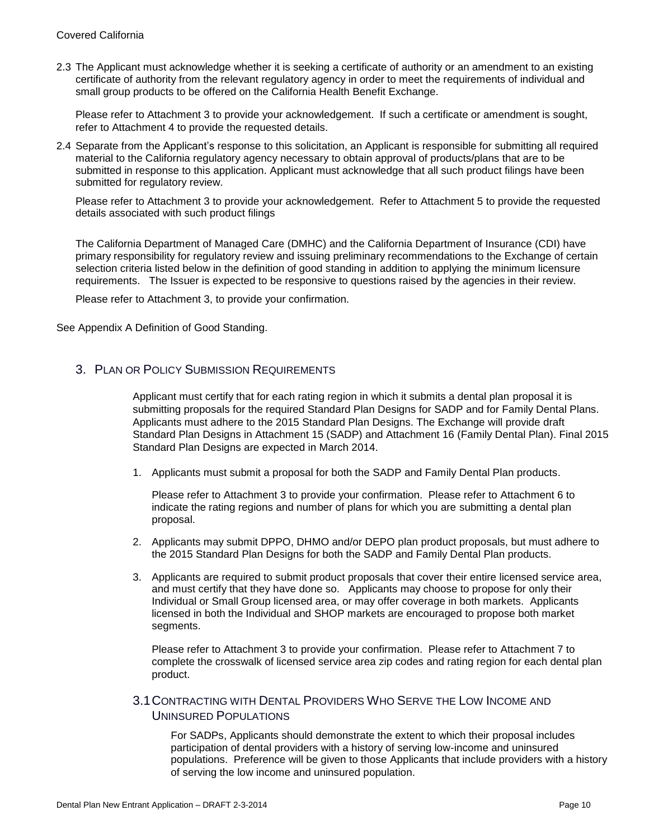2.3 The Applicant must acknowledge whether it is seeking a certificate of authority or an amendment to an existing certificate of authority from the relevant regulatory agency in order to meet the requirements of individual and small group products to be offered on the California Health Benefit Exchange.

Please refer to Attachment 3 to provide your acknowledgement. If such a certificate or amendment is sought, refer to Attachment 4 to provide the requested details.

2.4 Separate from the Applicant's response to this solicitation, an Applicant is responsible for submitting all required material to the California regulatory agency necessary to obtain approval of products/plans that are to be submitted in response to this application. Applicant must acknowledge that all such product filings have been submitted for regulatory review.

Please refer to Attachment 3 to provide your acknowledgement. Refer to Attachment 5 to provide the requested details associated with such product filings

The California Department of Managed Care (DMHC) and the California Department of Insurance (CDI) have primary responsibility for regulatory review and issuing preliminary recommendations to the Exchange of certain selection criteria listed below in the definition of good standing in addition to applying the minimum licensure requirements. The Issuer is expected to be responsive to questions raised by the agencies in their review.

Please refer to Attachment 3, to provide your confirmation.

See Appendix A Definition of Good Standing.

### 3. PLAN OR POLICY SUBMISSION REQUIREMENTS

Applicant must certify that for each rating region in which it submits a dental plan proposal it is submitting proposals for the required Standard Plan Designs for SADP and for Family Dental Plans. Applicants must adhere to the 2015 Standard Plan Designs. The Exchange will provide draft Standard Plan Designs in Attachment 15 (SADP) and Attachment 16 (Family Dental Plan). Final 2015 Standard Plan Designs are expected in March 2014.

1. Applicants must submit a proposal for both the SADP and Family Dental Plan products.

Please refer to Attachment 3 to provide your confirmation. Please refer to Attachment 6 to indicate the rating regions and number of plans for which you are submitting a dental plan proposal.

- 2. Applicants may submit DPPO, DHMO and/or DEPO plan product proposals, but must adhere to the 2015 Standard Plan Designs for both the SADP and Family Dental Plan products.
- 3. Applicants are required to submit product proposals that cover their entire licensed service area, and must certify that they have done so. Applicants may choose to propose for only their Individual or Small Group licensed area, or may offer coverage in both markets. Applicants licensed in both the Individual and SHOP markets are encouraged to propose both market segments.

Please refer to Attachment 3 to provide your confirmation. Please refer to Attachment 7 to complete the crosswalk of licensed service area zip codes and rating region for each dental plan product.

### <span id="page-9-0"></span>3.1CONTRACTING WITH DENTAL PROVIDERS WHO SERVE THE LOW INCOME AND UNINSURED POPULATIONS

For SADPs, Applicants should demonstrate the extent to which their proposal includes participation of dental providers with a history of serving low-income and uninsured populations. Preference will be given to those Applicants that include providers with a history of serving the low income and uninsured population.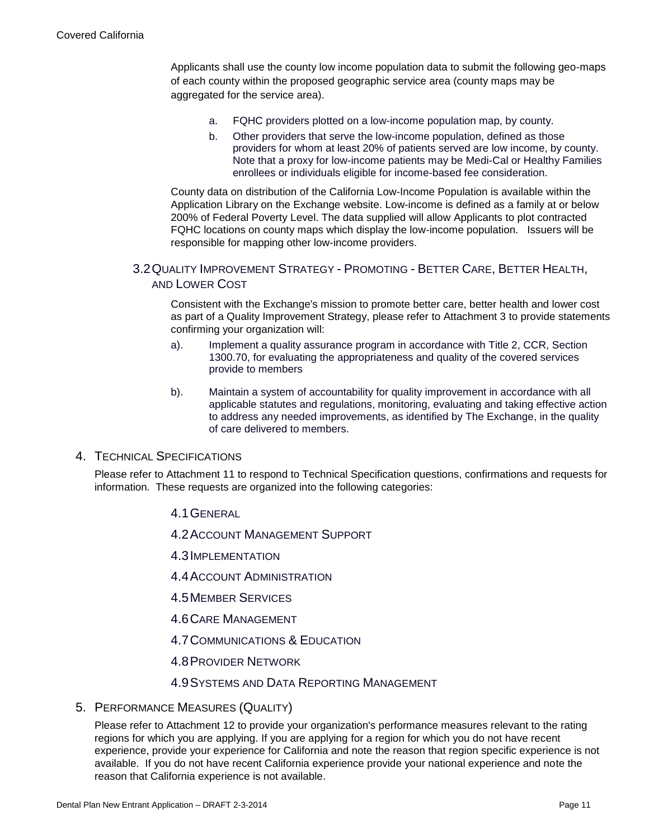Applicants shall use the county low income population data to submit the following geo-maps of each county within the proposed geographic service area (county maps may be aggregated for the service area).

- a. FQHC providers plotted on a low-income population map, by county.
- b. Other providers that serve the low-income population, defined as those providers for whom at least 20% of patients served are low income, by county. Note that a proxy for low-income patients may be Medi-Cal or Healthy Families enrollees or individuals eligible for income-based fee consideration.

County data on distribution of the California Low-Income Population is available within the Application Library on the Exchange website. Low-income is defined as a family at or below 200% of Federal Poverty Level. The data supplied will allow Applicants to plot contracted FQHC locations on county maps which display the low-income population. Issuers will be responsible for mapping other low-income providers.

### <span id="page-10-0"></span>3.2QUALITY IMPROVEMENT STRATEGY - PROMOTING - BETTER CARE, BETTER HEALTH, AND LOWER COST

Consistent with the Exchange's mission to promote better care, better health and lower cost as part of a Quality Improvement Strategy, please refer to Attachment 3 to provide statements confirming your organization will:

- a). Implement a quality assurance program in accordance with Title 2, CCR, Section 1300.70, for evaluating the appropriateness and quality of the covered services provide to members
- b). Maintain a system of accountability for quality improvement in accordance with all applicable statutes and regulations, monitoring, evaluating and taking effective action to address any needed improvements, as identified by The Exchange, in the quality of care delivered to members.

### <span id="page-10-1"></span>4. TECHNICAL SPECIFICATIONS

<span id="page-10-5"></span><span id="page-10-4"></span><span id="page-10-3"></span><span id="page-10-2"></span>Please refer to Attachment 11 to respond to Technical Specification questions, confirmations and requests for information. These requests are organized into the following categories:

- 4.1GENERAL
- 4.2ACCOUNT MANAGEMENT SUPPORT
- 4.3IMPLEMENTATION
- 4.4ACCOUNT ADMINISTRATION
- 4.5MEMBER SERVICES
- 4.6CARE MANAGEMENT
- 4.7COMMUNICATIONS & EDUCATION
- 4.8PROVIDER NETWORK

### 4.9SYSTEMS AND DATA REPORTING MANAGEMENT

### <span id="page-10-11"></span><span id="page-10-10"></span><span id="page-10-9"></span><span id="page-10-8"></span><span id="page-10-7"></span><span id="page-10-6"></span>5. PERFORMANCE MEASURES (QUALITY)

Please refer to Attachment 12 to provide your organization's performance measures relevant to the rating regions for which you are applying. If you are applying for a region for which you do not have recent experience, provide your experience for California and note the reason that region specific experience is not available. If you do not have recent California experience provide your national experience and note the reason that California experience is not available.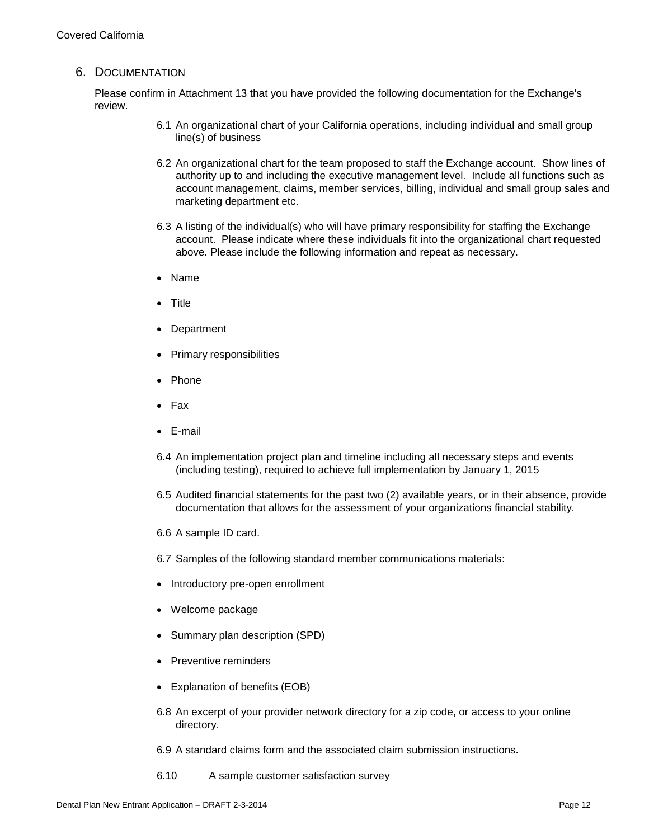### <span id="page-11-0"></span>6. DOCUMENTATION

Please confirm in Attachment 13 that you have provided the following documentation for the Exchange's review.

- 6.1 An organizational chart of your California operations, including individual and small group line(s) of business
- 6.2 An organizational chart for the team proposed to staff the Exchange account. Show lines of authority up to and including the executive management level. Include all functions such as account management, claims, member services, billing, individual and small group sales and marketing department etc.
- 6.3 A listing of the individual(s) who will have primary responsibility for staffing the Exchange account. Please indicate where these individuals fit into the organizational chart requested above. Please include the following information and repeat as necessary.
- Name
- Title
- Department
- Primary responsibilities
- Phone
- Fax
- E-mail
- 6.4 An implementation project plan and timeline including all necessary steps and events (including testing), required to achieve full implementation by January 1, 2015
- 6.5 Audited financial statements for the past two (2) available years, or in their absence, provide documentation that allows for the assessment of your organizations financial stability.
- 6.6 A sample ID card.
- 6.7 Samples of the following standard member communications materials:
- Introductory pre-open enrollment
- Welcome package
- Summary plan description (SPD)
- Preventive reminders
- Explanation of benefits (EOB)
- 6.8 An excerpt of your provider network directory for a zip code, or access to your online directory.
- 6.9 A standard claims form and the associated claim submission instructions.
- 6.10 A sample customer satisfaction survey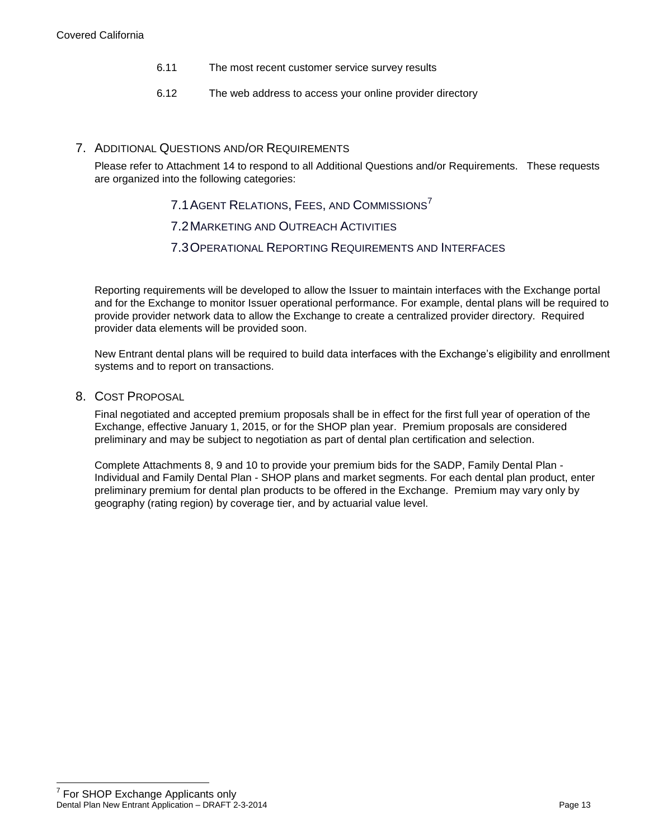- 6.11 The most recent customer service survey results
- 6.12 The web address to access your online provider directory

### <span id="page-12-0"></span>7. ADDITIONAL QUESTIONS AND/OR REQUIREMENTS

<span id="page-12-2"></span><span id="page-12-1"></span>Please refer to Attachment 14 to respond to all Additional Questions and/or Requirements. These requests are organized into the following categories:

7.1AGENT RELATIONS, FEES, AND COMMISSIONS<sup>7</sup>

7.2MARKETING AND OUTREACH ACTIVITIES

7.3OPERATIONAL REPORTING REQUIREMENTS AND INTERFACES

<span id="page-12-3"></span>Reporting requirements will be developed to allow the Issuer to maintain interfaces with the Exchange portal and for the Exchange to monitor Issuer operational performance. For example, dental plans will be required to provide provider network data to allow the Exchange to create a centralized provider directory. Required provider data elements will be provided soon.

New Entrant dental plans will be required to build data interfaces with the Exchange's eligibility and enrollment systems and to report on transactions.

<span id="page-12-4"></span>8. COST PROPOSAL

Final negotiated and accepted premium proposals shall be in effect for the first full year of operation of the Exchange, effective January 1, 2015, or for the SHOP plan year. Premium proposals are considered preliminary and may be subject to negotiation as part of dental plan certification and selection.

Complete Attachments 8, 9 and 10 to provide your premium bids for the SADP, Family Dental Plan - Individual and Family Dental Plan - SHOP plans and market segments. For each dental plan product, enter preliminary premium for dental plan products to be offered in the Exchange. Premium may vary only by geography (rating region) by coverage tier, and by actuarial value level.

Dental Plan New Entrant Application – DRAFT 2-3-2014 **Page 13** Page 13 <u>For SHOP Exchange Applicants</u> only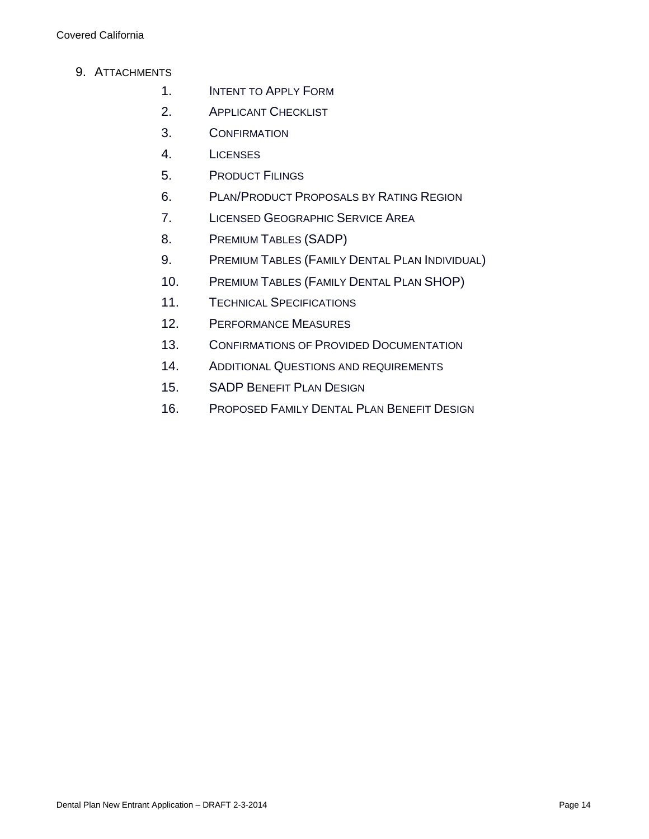- <span id="page-13-16"></span><span id="page-13-15"></span><span id="page-13-14"></span><span id="page-13-13"></span><span id="page-13-12"></span><span id="page-13-11"></span><span id="page-13-10"></span><span id="page-13-9"></span><span id="page-13-8"></span><span id="page-13-7"></span><span id="page-13-6"></span><span id="page-13-5"></span><span id="page-13-4"></span><span id="page-13-3"></span><span id="page-13-2"></span><span id="page-13-1"></span><span id="page-13-0"></span>9. ATTACHMENTS
	- 1. INTENT TO APPLY FORM
	- 2. APPLICANT CHECKLIST
	- 3. CONFIRMATION
	- 4. LICENSES
	- 5. PRODUCT FILINGS
	- 6. PLAN/PRODUCT PROPOSALS BY RATING REGION
	- 7. LICENSED GEOGRAPHIC SERVICE AREA
	- 8. PREMIUM TABLES (SADP)
	- 9. PREMIUM TABLES (FAMILY DENTAL PLAN INDIVIDUAL)
	- 10. PREMIUM TABLES (FAMILY DENTAL PLAN SHOP)
	- 11. TECHNICAL SPECIFICATIONS
	- 12. PERFORMANCE MEASURES
	- 13. CONFIRMATIONS OF PROVIDED DOCUMENTATION
	- 14. ADDITIONAL QUESTIONS AND REQUIREMENTS
	- 15. SADP BENEFIT PLAN DESIGN
	- 16. PROPOSED FAMILY DENTAL PLAN BENEFIT DESIGN